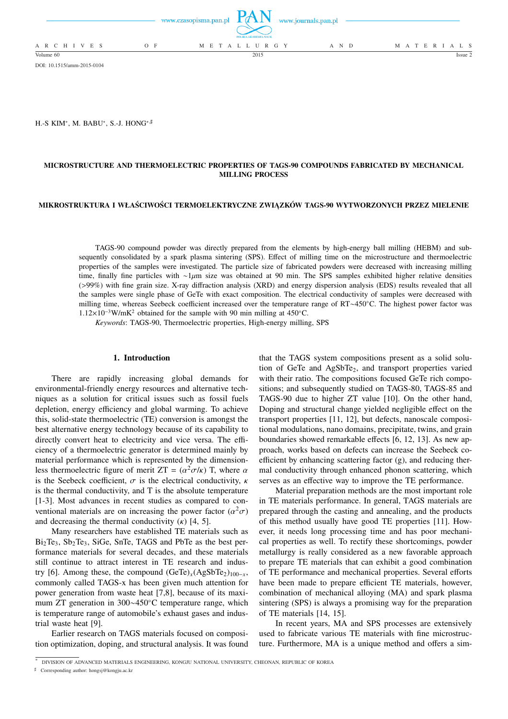|                 |       | www.czasopisma.pan.pl $TAN$ www.journals.pan.pl<br>POLSKA AKADEMIA NAUK |       |                   |
|-----------------|-------|-------------------------------------------------------------------------|-------|-------------------|
| A R C H I V E S | $O$ F | M E T A L L U R G Y                                                     | A N D | M A T E R I A L S |
| Volume 60       |       | 2015                                                                    |       | Issue 2           |

DOI: 10.1515/amm-2015-0104

H.-S KIM\*, M. BABU\*, S.-J. HONG\*<sup>,#</sup>

# **MICROSTRUCTURE AND THERMOELECTRIC PROPERTIES OF TAGS-90 COMPOUNDS FABRICATED BY MECHANICAL MILLING PROCESS**

## **MIKROSTRUKTURA I WŁAŚCIWOŚCI TERMOELEKTRYCZNE ZWIĄZKÓW TAGS-90 WYTWORZONYCH PRZEZ MIELENIE**

TAGS-90 compound powder was directly prepared from the elements by high-energy ball milling (HEBM) and subsequently consolidated by a spark plasma sintering (SPS). Effect of milling time on the microstructure and thermoelectric properties of the samples were investigated. The particle size of fabricated powders were decreased with increasing milling time, finally fine particles with ∼1µm size was obtained at 90 min. The SPS samples exhibited higher relative densities (>99%) with fine grain size. X-ray diffraction analysis (XRD) and energy dispersion analysis (EDS) results revealed that all the samples were single phase of GeTe with exact composition. The electrical conductivity of samples were decreased with milling time, whereas Seebeck coefficient increased over the temperature range of RT∼450◦C. The highest power factor was 1.12×10<sup>−</sup><sup>3</sup>W/mK<sup>2</sup> obtained for the sample with 90 min milling at 450◦C.

*Keywords*: TAGS-90, Thermoelectric properties, High-energy milling, SPS

### **1. Introduction**

There are rapidly increasing global demands for environmental-friendly energy resources and alternative techniques as a solution for critical issues such as fossil fuels depletion, energy efficiency and global warming. To achieve this, solid-state thermoelectric (TE) conversion is amongst the best alternative energy technology because of its capability to directly convert heat to electricity and vice versa. The efficiency of a thermoelectric generator is determined mainly by material performance which is represented by the dimensionless thermoelectric figure of merit  $ZT = (\alpha^2 \sigma / \kappa)$  T, where  $\alpha$ is the Seebeck coefficient,  $\sigma$  is the electrical conductivity,  $\kappa$ is the thermal conductivity, and T is the absolute temperature [1-3]. Most advances in recent studies as compared to conventional materials are on increasing the power factor  $(\alpha^2 \sigma)$ and decreasing the thermal conductivity  $(\kappa)$  [4, 5].

Many researchers have established TE materials such as  $Bi<sub>2</sub>Te<sub>3</sub>$ ,  $Sb<sub>2</sub>Te<sub>3</sub>$ ,  $SiGe$ ,  $SnTe$ ,  $TAGS$  and  $PbTe$  as the best performance materials for several decades, and these materials still continue to attract interest in TE research and industry [6]. Among these, the compound  $(GeTe)<sub>x</sub>(AgSbTe<sub>2</sub>)<sub>100-x</sub>$ , commonly called TAGS-x has been given much attention for power generation from waste heat [7,8], because of its maximum ZT generation in 300∼450◦C temperature range, which is temperature range of automobile's exhaust gases and industrial waste heat [9].

Earlier research on TAGS materials focused on composition optimization, doping, and structural analysis. It was found that the TAGS system compositions present as a solid solution of GeTe and AgSbTe<sub>2</sub>, and transport properties varied with their ratio. The compositions focused GeTe rich compositions; and subsequently studied on TAGS-80, TAGS-85 and TAGS-90 due to higher ZT value [10]. On the other hand, Doping and structural change yielded negligible effect on the transport properties [11, 12], but defects, nanoscale compositional modulations, nano domains, precipitate, twins, and grain boundaries showed remarkable effects [6, 12, 13]. As new approach, works based on defects can increase the Seebeck coefficient by enhancing scattering factor (g), and reducing thermal conductivity through enhanced phonon scattering, which serves as an effective way to improve the TE performance.

Material preparation methods are the most important role in TE materials performance. In general, TAGS materials are prepared through the casting and annealing, and the products of this method usually have good TE properties [11]. However, it needs long processing time and has poor mechanical properties as well. To rectify these shortcomings, powder metallurgy is really considered as a new favorable approach to prepare TE materials that can exhibit a good combination of TE performance and mechanical properties. Several efforts have been made to prepare efficient TE materials, however, combination of mechanical alloying (MA) and spark plasma sintering (SPS) is always a promising way for the preparation of TE materials [14, 15].

In recent years, MA and SPS processes are extensively used to fabricate various TE materials with fine microstructure. Furthermore, MA is a unique method and offers a sim-

] Corresponding author: hongsj@kongju.ac.kr

<sup>∗</sup> DIVISION OF ADVANCED MATERIALS ENGINEERING, KONGJU NATIONAL UNIVERSITY, CHEONAN, REPUBLIC OF KOREA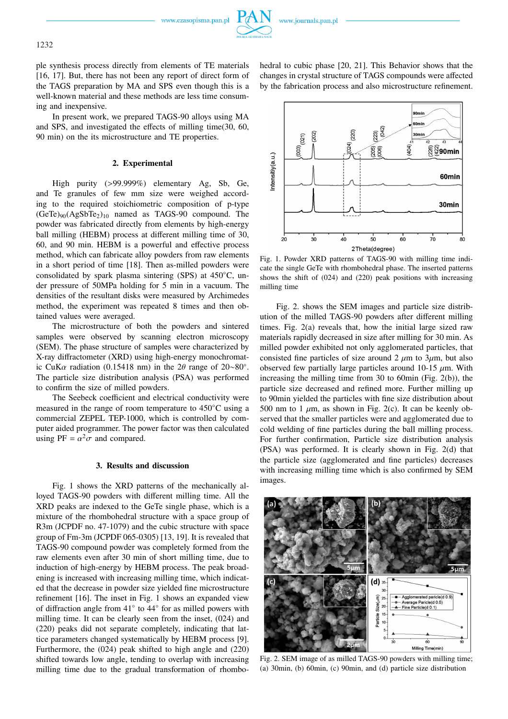www.czasopisma.pan.pl

ple synthesis process directly from elements of TE materials [16, 17]. But, there has not been any report of direct form of the TAGS preparation by MA and SPS even though this is a well-known material and these methods are less time consuming and inexpensive.

In present work, we prepared TAGS-90 alloys using MA and SPS, and investigated the effects of milling time(30, 60, 90 min) on the its microstructure and TE properties.

### **2. Experimental**

High purity (>99.999%) elementary Ag, Sb, Ge, and Te granules of few mm size were weighed according to the required stoichiometric composition of p-type  $(GeTe)_{90}(AgSbTe<sub>2</sub>)_{10}$  named as TAGS-90 compound. The powder was fabricated directly from elements by high-energy ball milling (HEBM) process at different milling time of 30, 60, and 90 min. HEBM is a powerful and effective process method, which can fabricate alloy powders from raw elements in a short period of time [18]. Then as-milled powders were consolidated by spark plasma sintering (SPS) at 450◦C, under pressure of 50MPa holding for 5 min in a vacuum. The densities of the resultant disks were measured by Archimedes method, the experiment was repeated 8 times and then obtained values were averaged.

The microstructure of both the powders and sintered samples were observed by scanning electron microscopy (SEM). The phase structure of samples were characterized by X-ray diffractometer (XRD) using high-energy monochromatic CuK $\alpha$  radiation (0.15418 nm) in the 2 $\theta$  range of 20∼80°. The particle size distribution analysis (PSA) was performed to confirm the size of milled powders.

The Seebeck coefficient and electrical conductivity were measured in the range of room temperature to 450◦C using a commercial ZEPEL TEP-1000, which is controlled by computer aided programmer. The power factor was then calculated using PF =  $\alpha^2 \sigma$  and compared.

### **3. Results and discussion**

Fig. 1 shows the XRD patterns of the mechanically alloyed TAGS-90 powders with different milling time. All the XRD peaks are indexed to the GeTe single phase, which is a mixture of the rhombohedral structure with a space group of R3m (JCPDF no. 47-1079) and the cubic structure with space group of Fm-3m (JCPDF 065-0305) [13, 19]. It is revealed that TAGS-90 compound powder was completely formed from the raw elements even after 30 min of short milling time, due to induction of high-energy by HEBM process. The peak broadening is increased with increasing milling time, which indicated that the decrease in powder size yielded fine microstructure refinement [16]. The inset in Fig. 1 shows an expanded view of diffraction angle from 41◦ to 44◦ for as milled powers with milling time. It can be clearly seen from the inset, (024) and (220) peaks did not separate completely, indicating that lattice parameters changed systematically by HEBM process [9]. Furthermore, the (024) peak shifted to high angle and (220) shifted towards low angle, tending to overlap with increasing milling time due to the gradual transformation of rhombohedral to cubic phase [20, 21]. This Behavior shows that the changes in crystal structure of TAGS compounds were affected by the fabrication process and also microstructure refinement.



Fig. 1. Powder XRD patterns of TAGS-90 with milling time indicate the single GeTe with rhombohedral phase. The inserted patterns shows the shift of (024) and (220) peak positions with increasing milling time

Fig. 2. shows the SEM images and particle size distribution of the milled TAGS-90 powders after different milling times. Fig. 2(a) reveals that, how the initial large sized raw materials rapidly decreased in size after milling for 30 min. As milled powder exhibited not only agglomerated particles, that consisted fine particles of size around 2  $\mu$ m to 3 $\mu$ m, but also observed few partially large particles around 10-15  $\mu$ m. With increasing the milling time from 30 to 60min (Fig. 2(b)), the particle size decreased and refined more. Further milling up to 90min yielded the particles with fine size distribution about 500 nm to 1  $\mu$ m, as shown in Fig. 2(c). It can be keenly observed that the smaller particles were and agglomerated due to cold welding of fine particles during the ball milling process. For further confirmation, Particle size distribution analysis (PSA) was performed. It is clearly shown in Fig. 2(d) that the particle size (agglomerated and fine particles) decreases with increasing milling time which is also confirmed by SEM images.



Fig. 2. SEM image of as milled TAGS-90 powders with milling time; (a) 30min, (b) 60min, (c) 90min, and (d) particle size distribution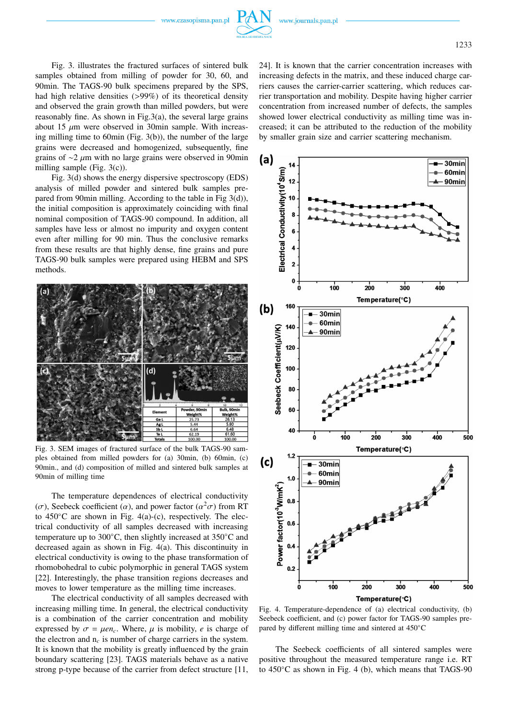www.czasopisma.pan.pl

Fig. 3. illustrates the fractured surfaces of sintered bulk samples obtained from milling of powder for 30, 60, and 90min. The TAGS-90 bulk specimens prepared by the SPS, had high relative densities (>99%) of its theoretical density and observed the grain growth than milled powders, but were reasonably fine. As shown in Fig.3(a), the several large grains about 15  $\mu$ m were observed in 30min sample. With increasing milling time to 60min (Fig. 3(b)), the number of the large grains were decreased and homogenized, subsequently, fine grains of ∼2 µm with no large grains were observed in 90min milling sample (Fig. 3(c)).

Fig. 3(d) shows the energy dispersive spectroscopy (EDS) analysis of milled powder and sintered bulk samples prepared from 90min milling. According to the table in Fig 3(d)), the initial composition is approximately coinciding with final nominal composition of TAGS-90 compound. In addition, all samples have less or almost no impurity and oxygen content even after milling for 90 min. Thus the conclusive remarks from these results are that highly dense, fine grains and pure TAGS-90 bulk samples were prepared using HEBM and SPS methods.



Fig. 3. SEM images of fractured surface of the bulk TAGS-90 samples obtained from milled powders for (a) 30min, (b) 60min, (c) 90min., and (d) composition of milled and sintered bulk samples at 90min of milling time

The temperature dependences of electrical conductivity ( $\sigma$ ), Seebeck coefficient ( $\alpha$ ), and power factor ( $\alpha^2 \sigma$ ) from RT to  $450^{\circ}$ C are shown in Fig. 4(a)-(c), respectively. The electrical conductivity of all samples decreased with increasing temperature up to 300◦C, then slightly increased at 350◦C and decreased again as shown in Fig. 4(a). This discontinuity in electrical conductivity is owing to the phase transformation of rhomobohedral to cubic polymorphic in general TAGS system [22]. Interestingly, the phase transition regions decreases and moves to lower temperature as the milling time increases.

The electrical conductivity of all samples decreased with increasing milling time. In general, the electrical conductivity is a combination of the carrier concentration and mobility expressed by  $\sigma = \mu en_c$ . Where,  $\mu$  is mobility, *e* is charge of the electron and  $n_c$  is number of charge carriers in the system. It is known that the mobility is greatly influenced by the grain boundary scattering [23]. TAGS materials behave as a native strong p-type because of the carrier from defect structure [11,

24]. It is known that the carrier concentration increases with increasing defects in the matrix, and these induced charge carriers causes the carrier-carrier scattering, which reduces carrier transportation and mobility. Despite having higher carrier concentration from increased number of defects, the samples showed lower electrical conductivity as milling time was increased; it can be attributed to the reduction of the mobility by smaller grain size and carrier scattering mechanism.



Fig. 4. Temperature-dependence of (a) electrical conductivity, (b) Seebeck coefficient, and (c) power factor for TAGS-90 samples prepared by different milling time and sintered at 450◦C

The Seebeck coefficients of all sintered samples were positive throughout the measured temperature range i.e. RT to 450◦C as shown in Fig. 4 (b), which means that TAGS-90